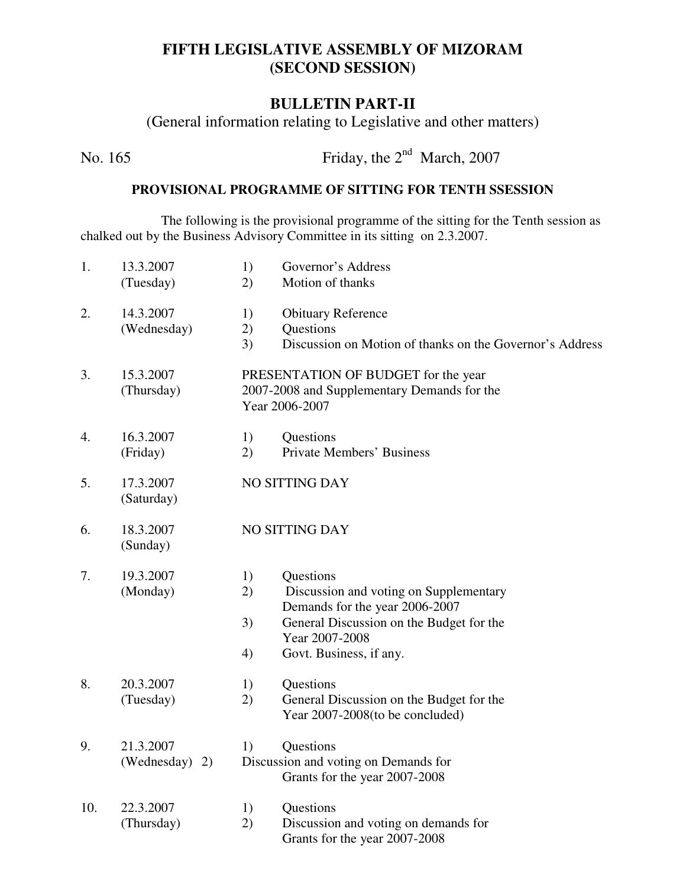## **FIFTH LEGISLATIVE ASSEMBLY OF MIZORAM (SECOND SESSION)**

### **BULLETIN PART-II**

(General information relating to Legislative and other matters)

No. 165 Friday, the  $2<sup>nd</sup> March, 2007$ 

#### **PROVISIONAL PROGRAMME OF SITTING FOR TENTH SSESSION**

The following is the provisional programme of the sitting for the Tenth session as chalked out by the Business Advisory Committee in its sitting on 2.3.2007.

| 1.  | 13.3.2007<br>(Tuesday)         | 1)<br>2)                                                                                             | Governor's Address<br>Motion of thanks                                                                                                                                         |  |
|-----|--------------------------------|------------------------------------------------------------------------------------------------------|--------------------------------------------------------------------------------------------------------------------------------------------------------------------------------|--|
| 2.  | 14.3.2007<br>(Wednesday)       | 1)<br>2)<br>3)                                                                                       | <b>Obituary Reference</b><br>Questions<br>Discussion on Motion of thanks on the Governor's Address                                                                             |  |
| 3.  | 15.3.2007<br>(Thursday)        | PRESENTATION OF BUDGET for the year<br>2007-2008 and Supplementary Demands for the<br>Year 2006-2007 |                                                                                                                                                                                |  |
| 4.  | 16.3.2007<br>(Friday)          | 1)<br>2)                                                                                             | Questions<br><b>Private Members' Business</b>                                                                                                                                  |  |
| 5.  | 17.3.2007<br>(Saturday)        | NO SITTING DAY                                                                                       |                                                                                                                                                                                |  |
| 6.  | 18.3.2007<br>(Sunday)          | <b>NO SITTING DAY</b>                                                                                |                                                                                                                                                                                |  |
| 7.  | 19.3.2007<br>(Monday)          | 1)<br>2)<br>3)<br>4)                                                                                 | Questions<br>Discussion and voting on Supplementary<br>Demands for the year 2006-2007<br>General Discussion on the Budget for the<br>Year 2007-2008<br>Govt. Business, if any. |  |
| 8.  | 20.3.2007<br>(Tuesday)         | 1)<br>2)                                                                                             | Questions<br>General Discussion on the Budget for the<br>Year 2007-2008 (to be concluded)                                                                                      |  |
| 9.  | 21.3.2007<br>(Wednesday)<br>2) | 1)                                                                                                   | Questions<br>Discussion and voting on Demands for<br>Grants for the year 2007-2008                                                                                             |  |
| 10. | 22.3.2007<br>(Thursday)        | 1)<br>2)                                                                                             | Questions<br>Discussion and voting on demands for<br>Grants for the year 2007-2008                                                                                             |  |